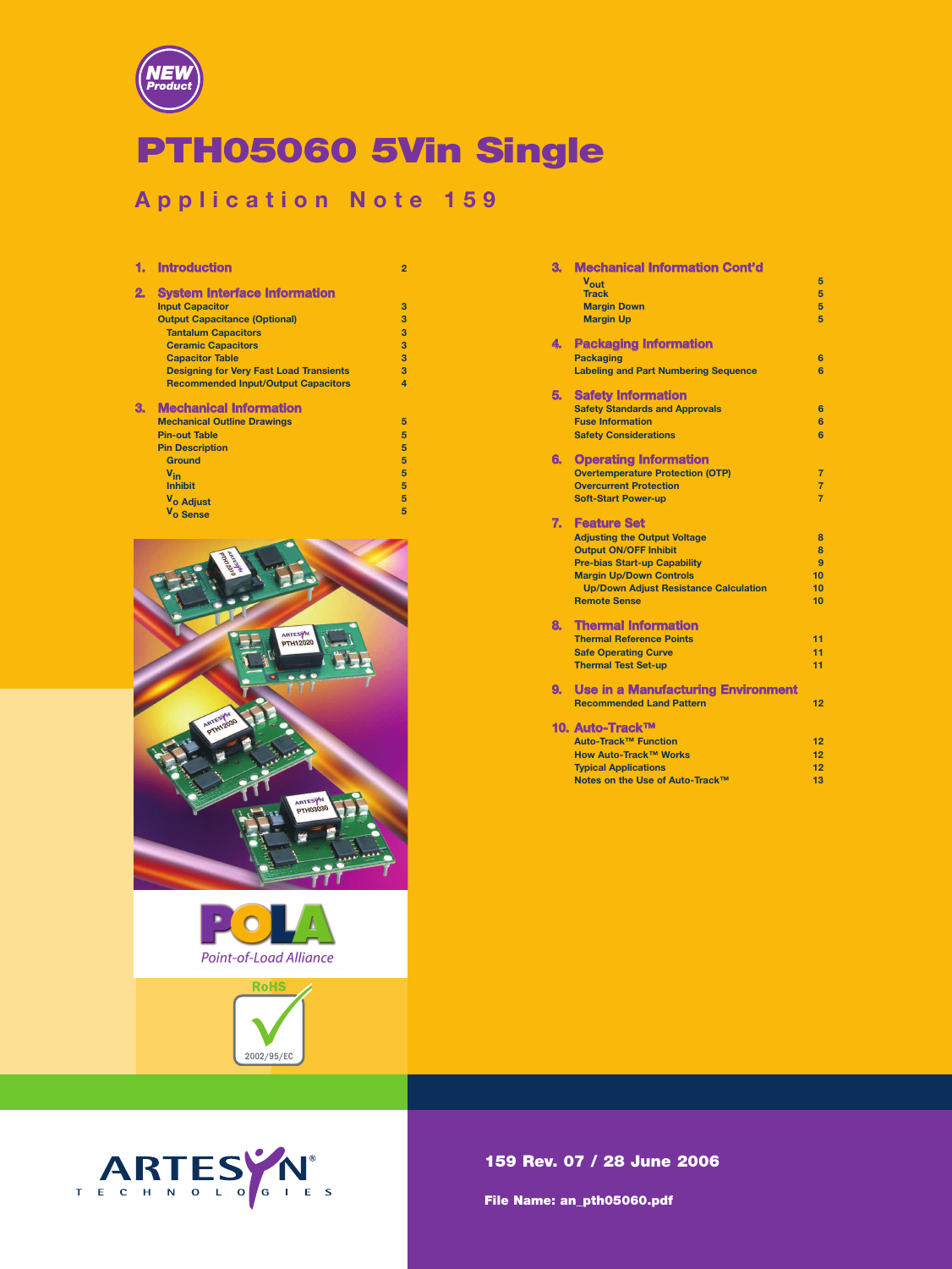

# PTH05060 5Vin Single

# **Application Note 159**

|    | <b>Introduction</b>                            | $\overline{2}$ |
|----|------------------------------------------------|----------------|
| 2. | <b>System Interface Information</b>            |                |
|    | <b>Input Capacitor</b>                         | 3              |
|    | <b>Output Capacitance (Optional)</b>           | 3              |
|    | <b>Tantalum Capacitors</b>                     | 3              |
|    | <b>Ceramic Capacitors</b>                      | 3              |
|    | <b>Capacitor Table</b>                         | 3              |
|    | <b>Designing for Very Fast Load Transients</b> | 3              |
|    | <b>Recommended Input/Output Capacitors</b>     | $\overline{a}$ |
| З. | <b>Mechanical Information</b>                  |                |
|    | <b>Mechanical Outline Drawings</b>             | 5              |
|    | <b>Pin-out Table</b>                           | 5              |
|    | <b>Pin Description</b>                         | 5              |
|    | <b>Ground</b>                                  | 5              |
|    | $V_{in}$                                       | 5              |
|    | <b>Inhibit</b>                                 | 5              |
|    | V <sub>o</sub> Adjust                          | 5              |
|    | V <sub>o</sub> Sense                           | 5              |







| З. | <b>Mechanical Information Cont'd</b>         |                |
|----|----------------------------------------------|----------------|
|    | Vout                                         | 5              |
|    | <b>Track</b>                                 | 5              |
|    | <b>Margin Down</b>                           | 5              |
|    | <b>Margin Up</b>                             | 5              |
| 4. | <b>Packaging Information</b>                 |                |
|    | <b>Packaging</b>                             | 6              |
|    | <b>Labeling and Part Numbering Sequence</b>  | 6              |
| 5. | <b>Safety Information</b>                    |                |
|    | <b>Safety Standards and Approvals</b>        | 6              |
|    | <b>Fuse Information</b>                      | 6              |
|    | <b>Safety Considerations</b>                 | 6              |
| 6. | <b>Operating Information</b>                 |                |
|    | <b>Overtemperature Protection (OTP)</b>      | $\overline{7}$ |
|    | <b>Overcurrent Protection</b>                | $\overline{7}$ |
|    | <b>Soft-Start Power-up</b>                   | $\overline{7}$ |
| 7. | <b>Feature Set</b>                           |                |
|    | <b>Adjusting the Output Voltage</b>          | $\mathbf{a}$   |
|    | <b>Output ON/OFF Inhibit</b>                 | 8              |
|    | <b>Pre-bias Start-up Capability</b>          | 9              |
|    | <b>Margin Up/Down Controls</b>               | 10             |
|    | <b>Up/Down Adiust Resistance Calculation</b> | 10             |
|    | <b>Remote Sense</b>                          | 10             |
| 8. | <b>Thermal Information</b>                   |                |
|    | <b>Thermal Reference Points</b>              | 11             |
|    | <b>Safe Operating Curve</b>                  | 11             |
|    | <b>Thermal Test Set-up</b>                   | 11             |
| 9. | <b>Use in a Manufacturing Environment</b>    |                |
|    | <b>Recommended Land Pattern</b>              | 12             |
|    | 10. Auto-Track™                              |                |
|    | Auto-Track™ Function                         | 12             |
|    | <b>How Auto-Track™ Works</b>                 | 12             |
|    | <b>Typical Applications</b>                  | 12             |
|    | Notes on the Use of Auto-Track™              | 13             |

159 Rev. 07 / 28 June 2006

File Name: an\_pth05060.pdf

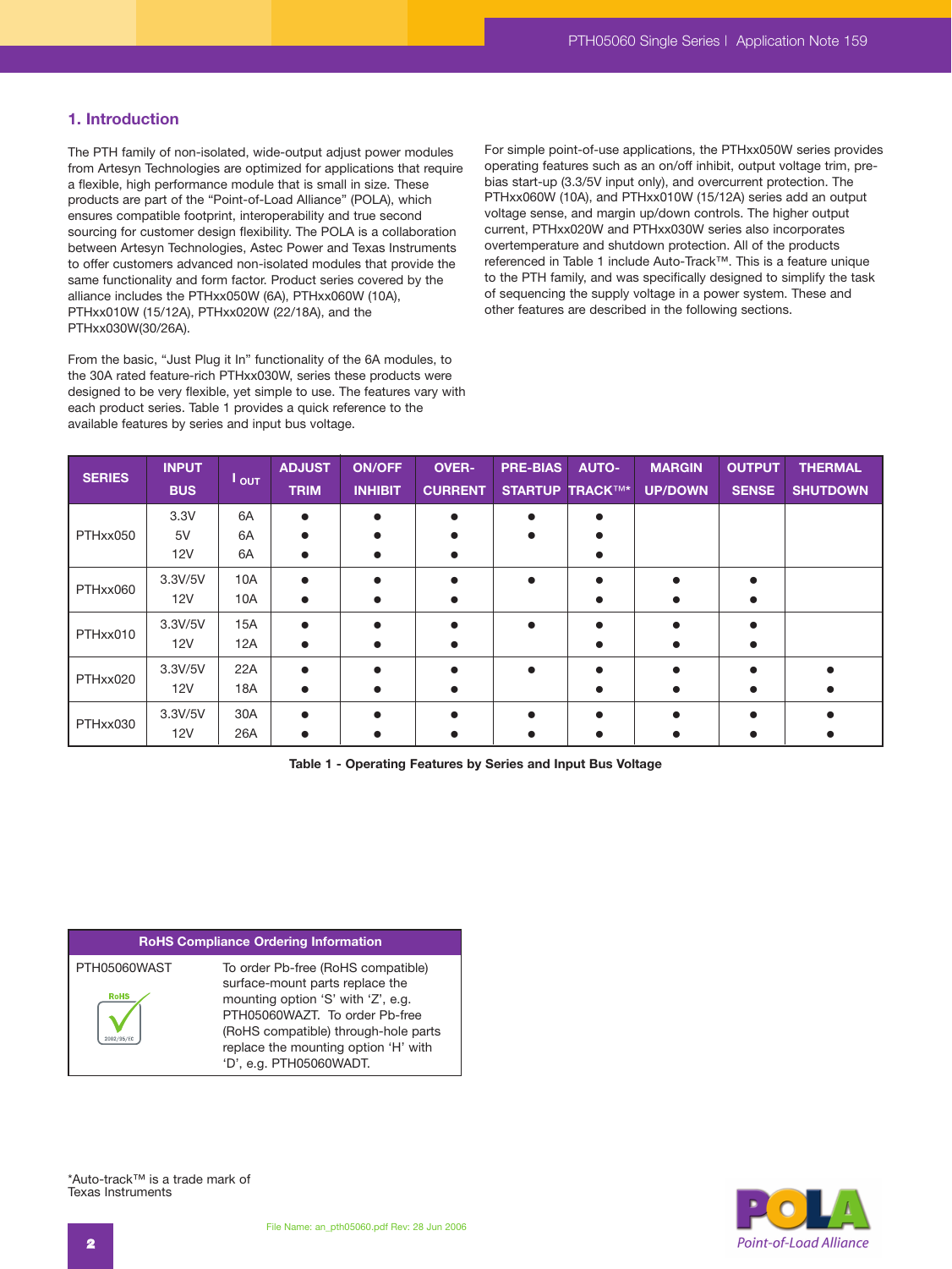# **1. Introduction**

The PTH family of non-isolated, wide-output adjust power modules from Artesyn Technologies are optimized for applications that require a flexible, high performance module that is small in size. These products are part of the "Point-of-Load Alliance" (POLA), which ensures compatible footprint, interoperability and true second sourcing for customer design flexibility. The POLA is a collaboration between Artesyn Technologies, Astec Power and Texas Instruments to offer customers advanced non-isolated modules that provide the same functionality and form factor. Product series covered by the alliance includes the PTHxx050W (6A), PTHxx060W (10A), PTHxx010W (15/12A), PTHxx020W (22/18A), and the PTHxx030W(30/26A).

From the basic, "Just Plug it In" functionality of the 6A modules, to the 30A rated feature-rich PTHxx030W, series these products were designed to be very flexible, yet simple to use. The features vary with each product series. Table 1 provides a quick reference to the available features by series and input bus voltage.

For simple point-of-use applications, the PTHxx050W series provides operating features such as an on/off inhibit, output voltage trim, prebias start-up (3.3/5V input only), and overcurrent protection. The PTHxx060W (10A), and PTHxx010W (15/12A) series add an output voltage sense, and margin up/down controls. The higher output current, PTHxx020W and PTHxx030W series also incorporates overtemperature and shutdown protection. All of the products referenced in Table 1 include Auto-Track™. This is a feature unique to the PTH family, and was specifically designed to simplify the task of sequencing the supply voltage in a power system. These and other features are described in the following sections.

| <b>SERIES</b> | <b>INPUT</b><br><b>BUS</b> | $I_{\text{OUT}}$  | <b>ADJUST</b><br><b>TRIM</b> | <b>ON/OFF</b><br><b>INHIBIT</b> | <b>OVER-</b><br><b>CURRENT</b> | <b>PRE-BIAS</b> | <b>AUTO-</b><br><b>STARTUP TRACKTM*</b> | <b>MARGIN</b><br><b>UP/DOWN</b> | <b>OUTPUT</b><br><b>SENSE</b> | <b>THERMAL</b><br><b>SHUTDOWN</b> |
|---------------|----------------------------|-------------------|------------------------------|---------------------------------|--------------------------------|-----------------|-----------------------------------------|---------------------------------|-------------------------------|-----------------------------------|
| PTHxx050      | 3.3V                       | 6A                | $\bullet$                    |                                 | $\bullet$                      |                 | ∙                                       |                                 |                               |                                   |
|               | 5V<br>12V                  | 6A<br>6A          |                              |                                 |                                |                 |                                         |                                 |                               |                                   |
| PTHxx060      | 3.3V/5V<br>12V             | 10A<br>10A        |                              |                                 |                                | $\bullet$       |                                         |                                 |                               |                                   |
| PTHxx010      | 3.3V/5V<br>12V             | <b>15A</b><br>12A |                              |                                 |                                |                 |                                         |                                 |                               |                                   |
| PTHxx020      | 3.3V/5V<br>12V             | 22A<br>18A        |                              |                                 |                                |                 |                                         |                                 |                               |                                   |
| PTHxx030      | 3.3V/5V<br>12V             | 30A<br>26A        |                              |                                 |                                |                 |                                         |                                 |                               |                                   |

**Table 1 - Operating Features by Series and Input Bus Voltage**

#### **RoHS Compliance Ordering Information**

| PTH05060WAST | To order Pb-free (RoHS compatible)   |
|--------------|--------------------------------------|
|              | surface-mount parts replace the      |
| <b>RoHS</b>  | mounting option 'S' with 'Z', e.g.   |
|              | PTH05060WAZT. To order Pb-free       |
|              | (RoHS compatible) through-hole parts |
|              | replace the mounting option 'H' with |
|              | 'D', e.g. PTH05060WADT.              |



\*Auto-track™ is a trade mark of Texas Instruments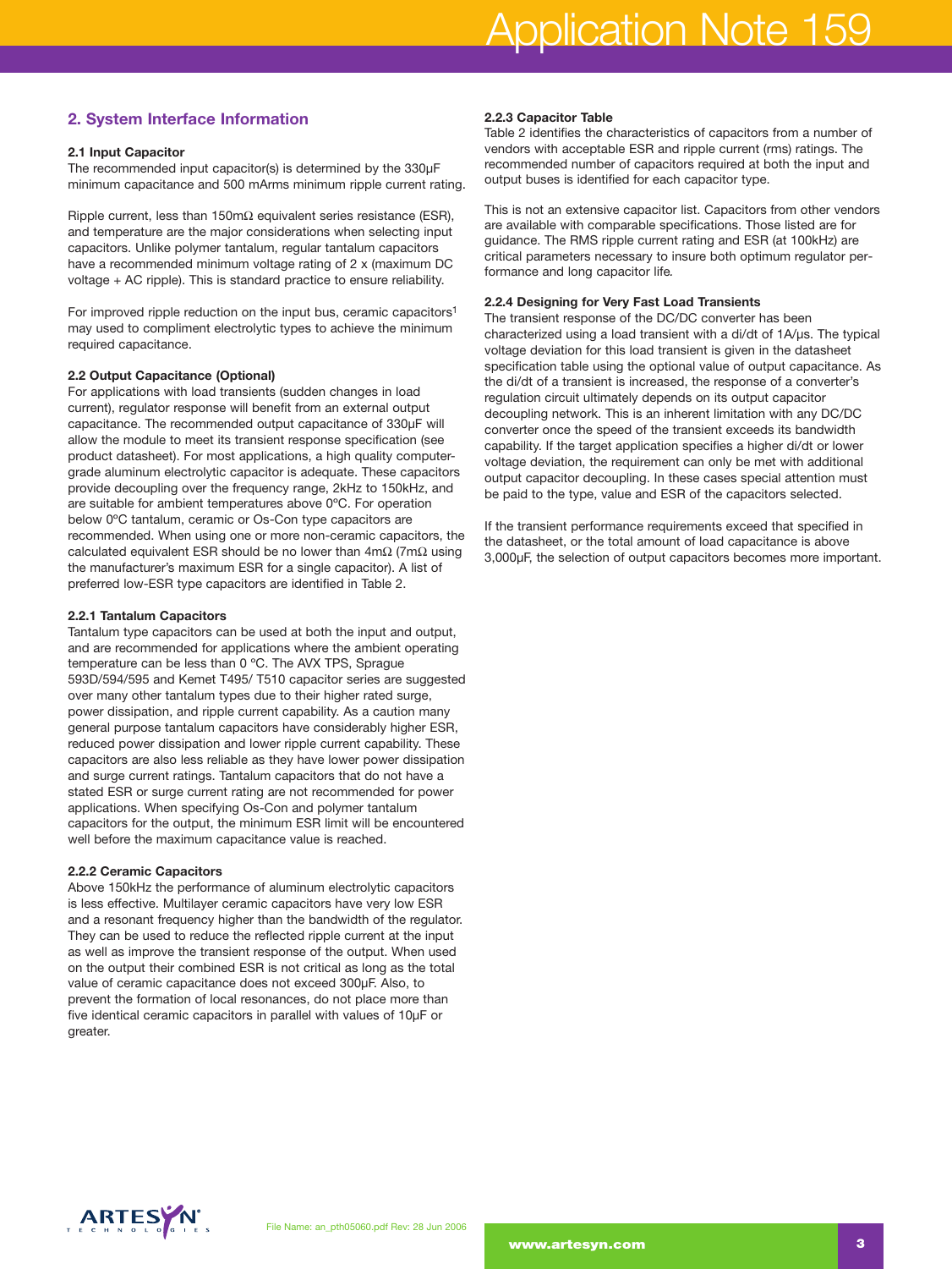# **2. System Interface Information**

#### **2.1 Input Capacitor**

The recommended input capacitor(s) is determined by the 330µF minimum capacitance and 500 mArms minimum ripple current rating.

Ripple current, less than 150mΩ equivalent series resistance (ESR), and temperature are the major considerations when selecting input capacitors. Unlike polymer tantalum, regular tantalum capacitors have a recommended minimum voltage rating of 2 x (maximum DC voltage + AC ripple). This is standard practice to ensure reliability.

For improved ripple reduction on the input bus, ceramic capacitors1 may used to compliment electrolytic types to achieve the minimum required capacitance.

#### **2.2 Output Capacitance (Optional)**

For applications with load transients (sudden changes in load current), regulator response will benefit from an external output capacitance. The recommended output capacitance of 330µF will allow the module to meet its transient response specification (see product datasheet). For most applications, a high quality computergrade aluminum electrolytic capacitor is adequate. These capacitors provide decoupling over the frequency range, 2kHz to 150kHz, and are suitable for ambient temperatures above 0ºC. For operation below 0ºC tantalum, ceramic or Os-Con type capacitors are recommended. When using one or more non-ceramic capacitors, the calculated equivalent ESR should be no lower than  $4m\Omega$  (7m $\Omega$  using the manufacturer's maximum ESR for a single capacitor). A list of preferred low-ESR type capacitors are identified in Table 2.

#### **2.2.1 Tantalum Capacitors**

Tantalum type capacitors can be used at both the input and output, and are recommended for applications where the ambient operating temperature can be less than 0 ºC. The AVX TPS, Sprague 593D/594/595 and Kemet T495/ T510 capacitor series are suggested over many other tantalum types due to their higher rated surge, power dissipation, and ripple current capability. As a caution many general purpose tantalum capacitors have considerably higher ESR, reduced power dissipation and lower ripple current capability. These capacitors are also less reliable as they have lower power dissipation and surge current ratings. Tantalum capacitors that do not have a stated ESR or surge current rating are not recommended for power applications. When specifying Os-Con and polymer tantalum capacitors for the output, the minimum ESR limit will be encountered well before the maximum capacitance value is reached.

#### **2.2.2 Ceramic Capacitors**

Above 150kHz the performance of aluminum electrolytic capacitors is less effective. Multilayer ceramic capacitors have very low ESR and a resonant frequency higher than the bandwidth of the regulator. They can be used to reduce the reflected ripple current at the input as well as improve the transient response of the output. When used on the output their combined ESR is not critical as long as the total value of ceramic capacitance does not exceed 300µF. Also, to prevent the formation of local resonances, do not place more than five identical ceramic capacitors in parallel with values of 10µF or greater.

# **2.2.3 Capacitor Table**

Table 2 identifies the characteristics of capacitors from a number of vendors with acceptable ESR and ripple current (rms) ratings. The recommended number of capacitors required at both the input and output buses is identified for each capacitor type.

This is not an extensive capacitor list. Capacitors from other vendors are available with comparable specifications. Those listed are for guidance. The RMS ripple current rating and ESR (at 100kHz) are critical parameters necessary to insure both optimum regulator performance and long capacitor life*.*

## **2.2.4 Designing for Very Fast Load Transients**

The transient response of the DC/DC converter has been characterized using a load transient with a di/dt of 1A/µs. The typical voltage deviation for this load transient is given in the datasheet specification table using the optional value of output capacitance. As the di/dt of a transient is increased, the response of a converter's regulation circuit ultimately depends on its output capacitor decoupling network. This is an inherent limitation with any DC/DC converter once the speed of the transient exceeds its bandwidth capability. If the target application specifies a higher di/dt or lower voltage deviation, the requirement can only be met with additional output capacitor decoupling. In these cases special attention must be paid to the type, value and ESR of the capacitors selected.

If the transient performance requirements exceed that specified in the datasheet, or the total amount of load capacitance is above 3,000µF, the selection of output capacitors becomes more important.

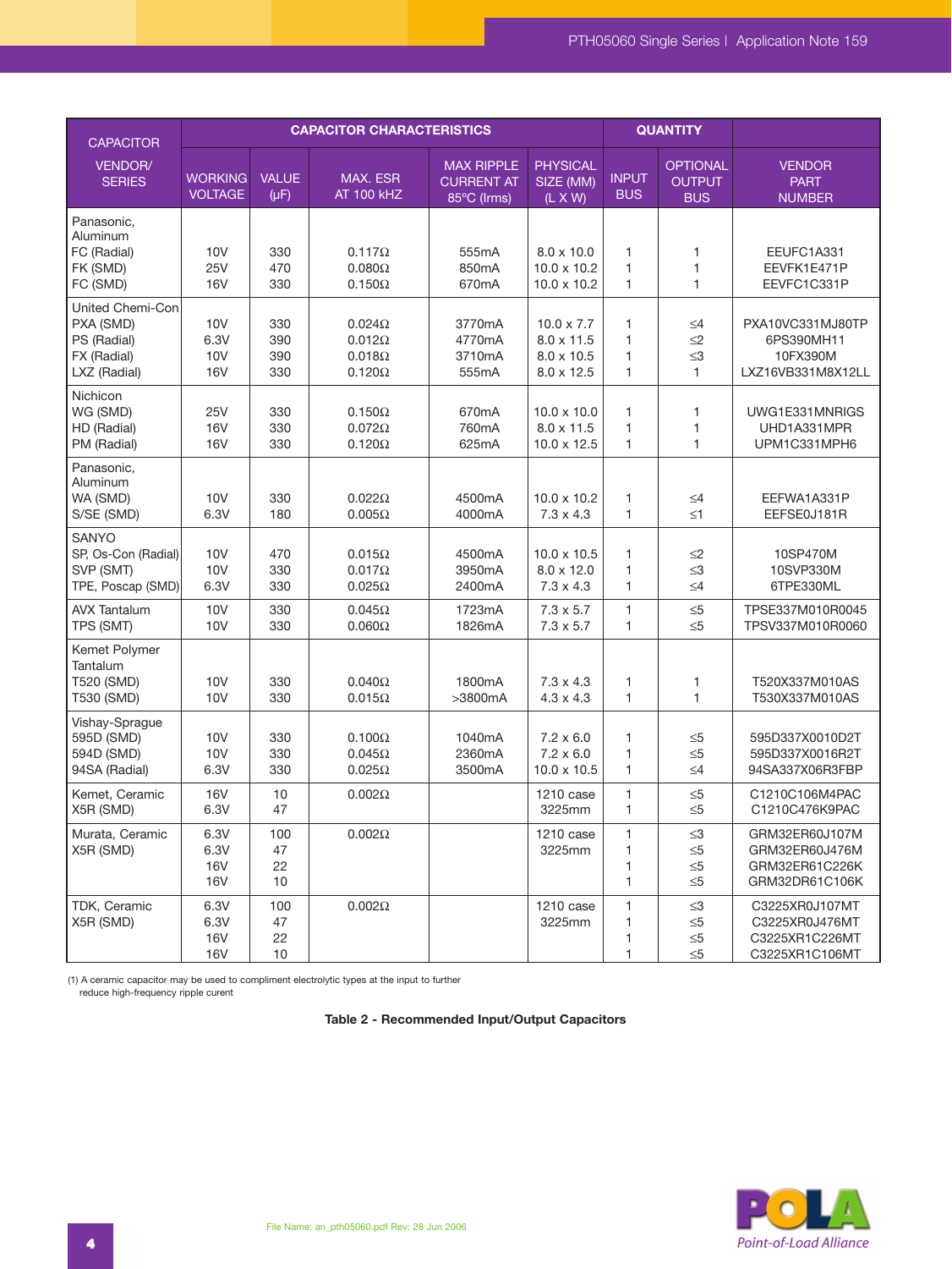| <b>CAPACITOR</b>                                                            | <b>CAPACITOR CHARACTERISTICS</b>         |                           |                                                                  |                                                       |                                                                           |                            | <b>QUANTITY</b>                                  |                                                                      |
|-----------------------------------------------------------------------------|------------------------------------------|---------------------------|------------------------------------------------------------------|-------------------------------------------------------|---------------------------------------------------------------------------|----------------------------|--------------------------------------------------|----------------------------------------------------------------------|
| VENDOR/<br><b>SERIES</b>                                                    | <b>WORKING</b><br><b>VOLTAGE</b>         | <b>VALUE</b><br>$(\mu F)$ | MAX. ESR<br><b>AT 100 kHZ</b>                                    | <b>MAX RIPPLE</b><br><b>CURRENT AT</b><br>85°C (Irms) | <b>PHYSICAL</b><br>SIZE (MM)<br>$(L \times W)$                            | <b>INPUT</b><br><b>BUS</b> | <b>OPTIONAL</b><br><b>OUTPUT</b><br><b>BUS</b>   | <b>VENDOR</b><br><b>PART</b><br><b>NUMBER</b>                        |
| Panasonic,<br>Aluminum<br>FC (Radial)<br>FK (SMD)<br>FC (SMD)               | <b>10V</b><br><b>25V</b><br><b>16V</b>   | 330<br>470<br>330         | $0.117\Omega$<br>$0.080\Omega$<br>$0.150\Omega$                  | 555mA<br>850mA<br>670mA                               | $8.0 \times 10.0$<br>$10.0 \times 10.2$<br>$10.0 \times 10.2$             | 1<br>1<br>1                | 1<br>1<br>$\mathbf{1}$                           | EEUFC1A331<br>EEVFK1E471P<br>EEVFC1C331P                             |
| United Chemi-Con<br>PXA (SMD)<br>PS (Radial)<br>FX (Radial)<br>LXZ (Radial) | 10V<br>6.3V<br>10V<br><b>16V</b>         | 330<br>390<br>390<br>330  | $0.024\Omega$<br>$0.012\Omega$<br>$0.018\Omega$<br>$0.120\Omega$ | 3770mA<br>4770mA<br>3710mA<br>555mA                   | $10.0 \times 7.7$<br>$8.0 \times 11.5$<br>$8.0 \times 10.5$<br>8.0 x 12.5 | 1<br>1<br>1<br>1           | $\leq 4$<br>$\leq$ 2<br>$\leq 3$<br>$\mathbf{1}$ | PXA10VC331MJ80TP<br>6PS390MH11<br>10FX390M<br>LXZ16VB331M8X12LL      |
| Nichicon<br>WG (SMD)<br>HD (Radial)<br>PM (Radial)                          | 25V<br><b>16V</b><br><b>16V</b>          | 330<br>330<br>330         | $0.150\Omega$<br>$0.072\Omega$<br>$0.120\Omega$                  | 670mA<br>760mA<br>625mA                               | $10.0 \times 10.0$<br>$8.0 \times 11.5$<br>$10.0 \times 12.5$             | 1<br>1<br>1                | 1<br>1<br>1                                      | UWG1E331MNRIGS<br>UHD1A331MPR<br>UPM1C331MPH6                        |
| Panasonic,<br>Aluminum<br>WA (SMD)<br>S/SE (SMD)                            | 10V<br>6.3V                              | 330<br>180                | $0.022\Omega$<br>$0.005\Omega$                                   | 4500mA<br>4000mA                                      | $10.0 \times 10.2$<br>$7.3 \times 4.3$                                    | 1<br>1                     | $\leq 4$<br>$\leq 1$                             | EEFWA1A331P<br>EEFSE0J181R                                           |
| <b>SANYO</b><br>SP, Os-Con (Radial)<br>SVP (SMT)<br>TPE, Poscap (SMD)       | 10V<br>10V<br>6.3V                       | 470<br>330<br>330         | $0.015\Omega$<br>$0.017\Omega$<br>$0.025\Omega$                  | 4500mA<br>3950mA<br>2400mA                            | $10.0 \times 10.5$<br>$8.0 \times 12.0$<br>$7.3 \times 4.3$               | $\mathbf{1}$<br>1<br>1     | $\leq$ 2<br>$\leq$ 3<br>$\leq 4$                 | 10SP470M<br>10SVP330M<br>6TPE330ML                                   |
| <b>AVX Tantalum</b><br>TPS (SMT)                                            | <b>10V</b><br>10V                        | 330<br>330                | $0.045\Omega$<br>$0.060\Omega$                                   | 1723mA<br>1826mA                                      | $7.3 \times 5.7$<br>$7.3 \times 5.7$                                      | 1<br>1                     | $\leq 5$<br>$\leq 5$                             | TPSE337M010R0045<br>TPSV337M010R0060                                 |
| Kemet Polymer<br>Tantalum<br>T520 (SMD)<br>T530 (SMD)                       | <b>10V</b><br><b>10V</b>                 | 330<br>330                | $0.040\Omega$<br>$0.015\Omega$                                   | 1800mA<br>>3800mA                                     | $7.3 \times 4.3$<br>4.3 x 4.3                                             | 1<br>1                     | 1<br>$\mathbf{1}$                                | T520X337M010AS<br>T530X337M010AS                                     |
| Vishay-Sprague<br>595D (SMD)<br>594D (SMD)<br>94SA (Radial)                 | 10V<br><b>10V</b><br>6.3V                | 330<br>330<br>330         | $0.100\Omega$<br>$0.045\Omega$<br>$0.025\Omega$                  | 1040mA<br>2360mA<br>3500mA                            | $7.2 \times 6.0$<br>$7.2 \times 6.0$<br>$10.0 \times 10.5$                | 1<br>1<br>1                | $\leq 5$<br>$\leq 5$<br>$\leq 4$                 | 595D337X0010D2T<br>595D337X0016R2T<br>94SA337X06R3FBP                |
| Kemet, Ceramic<br>X5R (SMD)                                                 | <b>16V</b><br>6.3V                       | 10<br>47                  | $0.002\Omega$                                                    |                                                       | 1210 case<br>3225mm                                                       | 1<br>$\mathbf{1}$          | $\leq 5$<br>$\leq 5$                             | C1210C106M4PAC<br>C1210C476K9PAC                                     |
| Murata, Ceramic<br>X5R (SMD)                                                | 6.3V<br>6.3V<br><b>16V</b><br>16V        | 100<br>47<br>22<br>10     | $0.002\Omega$                                                    |                                                       | 1210 case<br>3225mm                                                       | 1<br>1<br>1<br>1           | $\leq\!\!3$<br>$\leq 5$<br>$\leq 5$<br>$\leq 5$  | GRM32ER60J107M<br>GRM32ER60J476M<br>GRM32ER61C226K<br>GRM32DR61C106K |
| TDK, Ceramic<br>X5R (SMD)                                                   | 6.3V<br>6.3V<br><b>16V</b><br><b>16V</b> | 100<br>47<br>22<br>10     | $0.002\Omega$                                                    |                                                       | 1210 case<br>3225mm                                                       | 1<br>1<br>1<br>1           | $\leq 3$<br>$\leq 5$<br>$\leq 5$<br>$\leq 5$     | C3225XR0J107MT<br>C3225XR0J476MT<br>C3225XR1C226MT<br>C3225XR1C106MT |

(1) A ceramic capacitor may be used to compliment electrolytic types at the input to further reduce high-frequency ripple curent

# **Table 2 - Recommended Input/Output Capacitors**

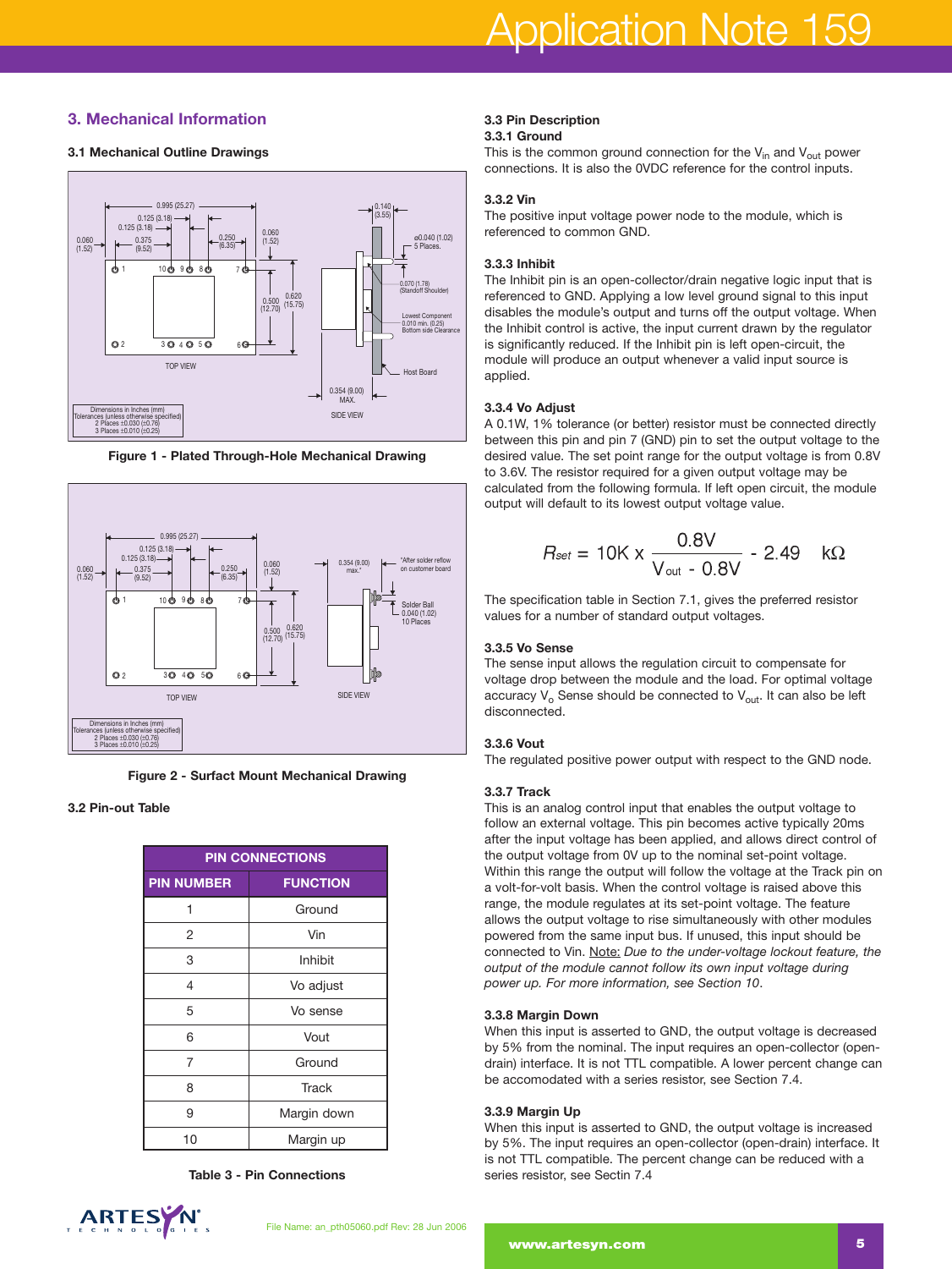# **3. Mechanical Information**

### **3.1 Mechanical Outline Drawings**



**Figure 1 - Plated Through-Hole Mechanical Drawing**



**Figure 2 - Surfact Mount Mechanical Drawing**

### **3.2 Pin-out Table**

| <b>PIN CONNECTIONS</b> |                 |  |  |  |
|------------------------|-----------------|--|--|--|
| <b>PIN NUMBER</b>      | <b>FUNCTION</b> |  |  |  |
| 1                      | Ground          |  |  |  |
| 2                      | Vin             |  |  |  |
| 3                      | Inhibit         |  |  |  |
| 4                      | Vo adjust       |  |  |  |
| 5                      | Vo sense        |  |  |  |
| 6                      | Vout            |  |  |  |
| 7                      | Ground          |  |  |  |
| 8                      | <b>Track</b>    |  |  |  |
| 9                      | Margin down     |  |  |  |
| 10                     | Margin up       |  |  |  |

**Table 3 - Pin Connections**

# ARTES N

#### **3.3 Pin Description 3.3.1 Ground**

This is the common ground connection for the  $V_{in}$  and  $V_{out}$  power connections. It is also the 0VDC reference for the control inputs.

## **3.3.2 Vin**

The positive input voltage power node to the module, which is referenced to common GND.

### **3.3.3 Inhibit**

The Inhibit pin is an open-collector/drain negative logic input that is referenced to GND. Applying a low level ground signal to this input disables the module's output and turns off the output voltage. When the Inhibit control is active, the input current drawn by the regulator is significantly reduced. If the Inhibit pin is left open-circuit, the module will produce an output whenever a valid input source is applied.

#### **3.3.4 Vo Adjust**

A 0.1W, 1% tolerance (or better) resistor must be connected directly between this pin and pin 7 (GND) pin to set the output voltage to the desired value. The set point range for the output voltage is from 0.8V to 3.6V. The resistor required for a given output voltage may be calculated from the following formula. If left open circuit, the module output will default to its lowest output voltage value.

$$
R_{\text{set}} = 10 \text{K} \times \frac{0.8 \text{V}}{\text{V}_{\text{out}} - 0.8 \text{V}} - 2.49 \text{ k}\Omega
$$

The specification table in Section 7.1, gives the preferred resistor values for a number of standard output voltages.

#### **3.3.5 Vo Sense**

The sense input allows the regulation circuit to compensate for voltage drop between the module and the load. For optimal voltage accuracy  $V_0$  Sense should be connected to  $V_{out}$ . It can also be left disconnected.

#### **3.3.6 Vout**

The regulated positive power output with respect to the GND node.

#### **3.3.7 Track**

This is an analog control input that enables the output voltage to follow an external voltage. This pin becomes active typically 20ms after the input voltage has been applied, and allows direct control of the output voltage from 0V up to the nominal set-point voltage. Within this range the output will follow the voltage at the Track pin on a volt-for-volt basis. When the control voltage is raised above this range, the module regulates at its set-point voltage. The feature allows the output voltage to rise simultaneously with other modules powered from the same input bus. If unused, this input should be connected to Vin. Note: *Due to the under-voltage lockout feature, the output of the module cannot follow its own input voltage during power up. For more information, see Section 10*.

#### **3.3.8 Margin Down**

When this input is asserted to GND, the output voltage is decreased by 5% from the nominal. The input requires an open-collector (opendrain) interface. It is not TTL compatible. A lower percent change can be accomodated with a series resistor, see Section 7.4.

#### **3.3.9 Margin Up**

When this input is asserted to GND, the output voltage is increased by 5%. The input requires an open-collector (open-drain) interface. It is not TTL compatible. The percent change can be reduced with a series resistor, see Sectin 7.4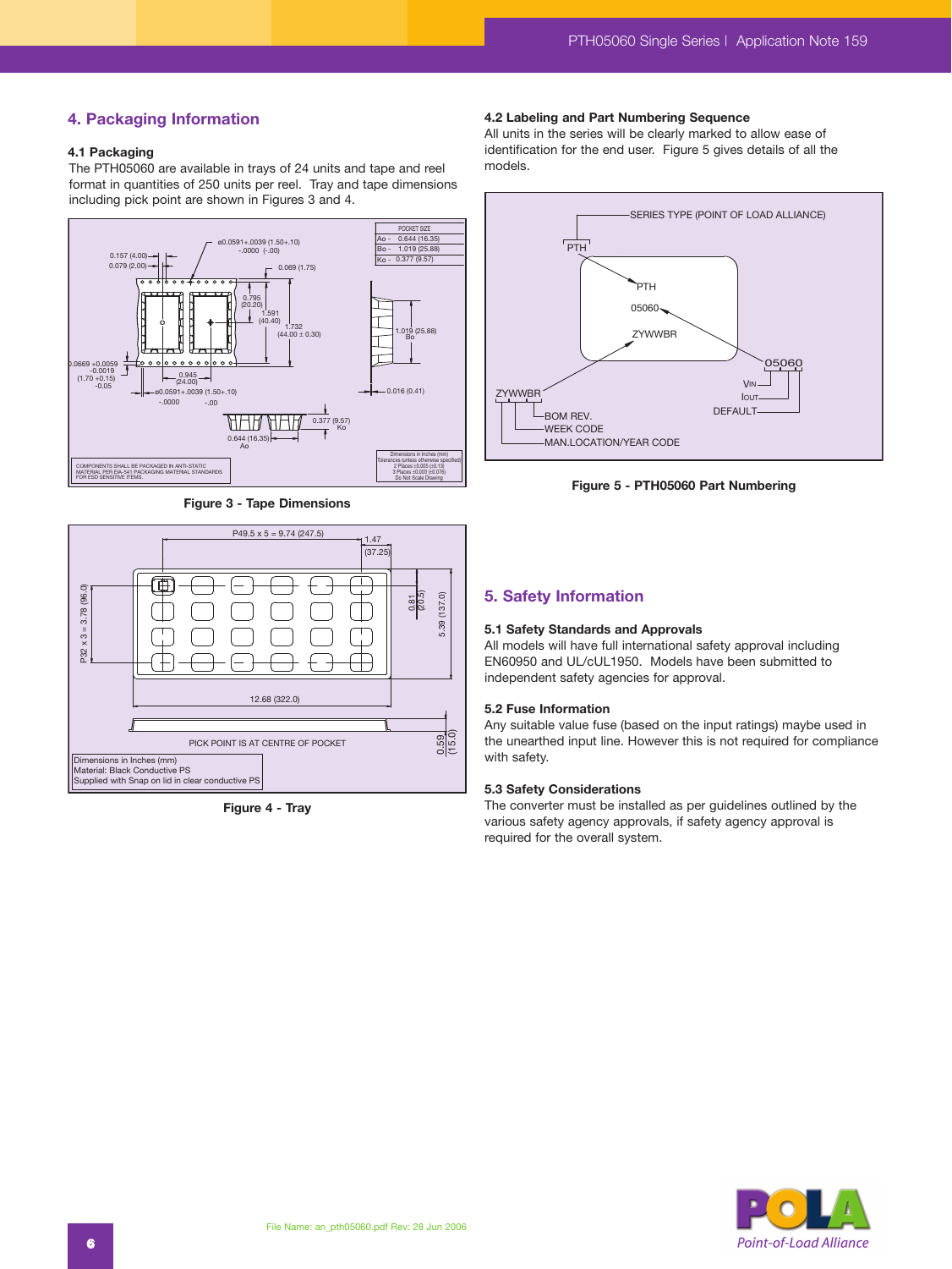# **4. Packaging Information**

#### **4.1 Packaging**

The PTH05060 are available in trays of 24 units and tape and reel format in quantities of 250 units per reel. Tray and tape dimensions including pick point are shown in Figures 3 and 4.



**Figure 3 - Tape Dimensions**



**Figure 4 - Tray**

#### **4.2 Labeling and Part Numbering Sequence**

All units in the series will be clearly marked to allow ease of identification for the end user. Figure 5 gives details of all the models.



**Figure 5 - PTH05060 Part Numbering**

#### **5. Safety Information**

#### **5.1 Safety Standards and Approvals**

All models will have full international safety approval including EN60950 and UL/cUL1950. Models have been submitted to independent safety agencies for approval.

#### **5.2 Fuse Information**

Any suitable value fuse (based on the input ratings) maybe used in the unearthed input line. However this is not required for compliance with safety.

#### **5.3 Safety Considerations**

The converter must be installed as per guidelines outlined by the various safety agency approvals, if safety agency approval is required for the overall system.

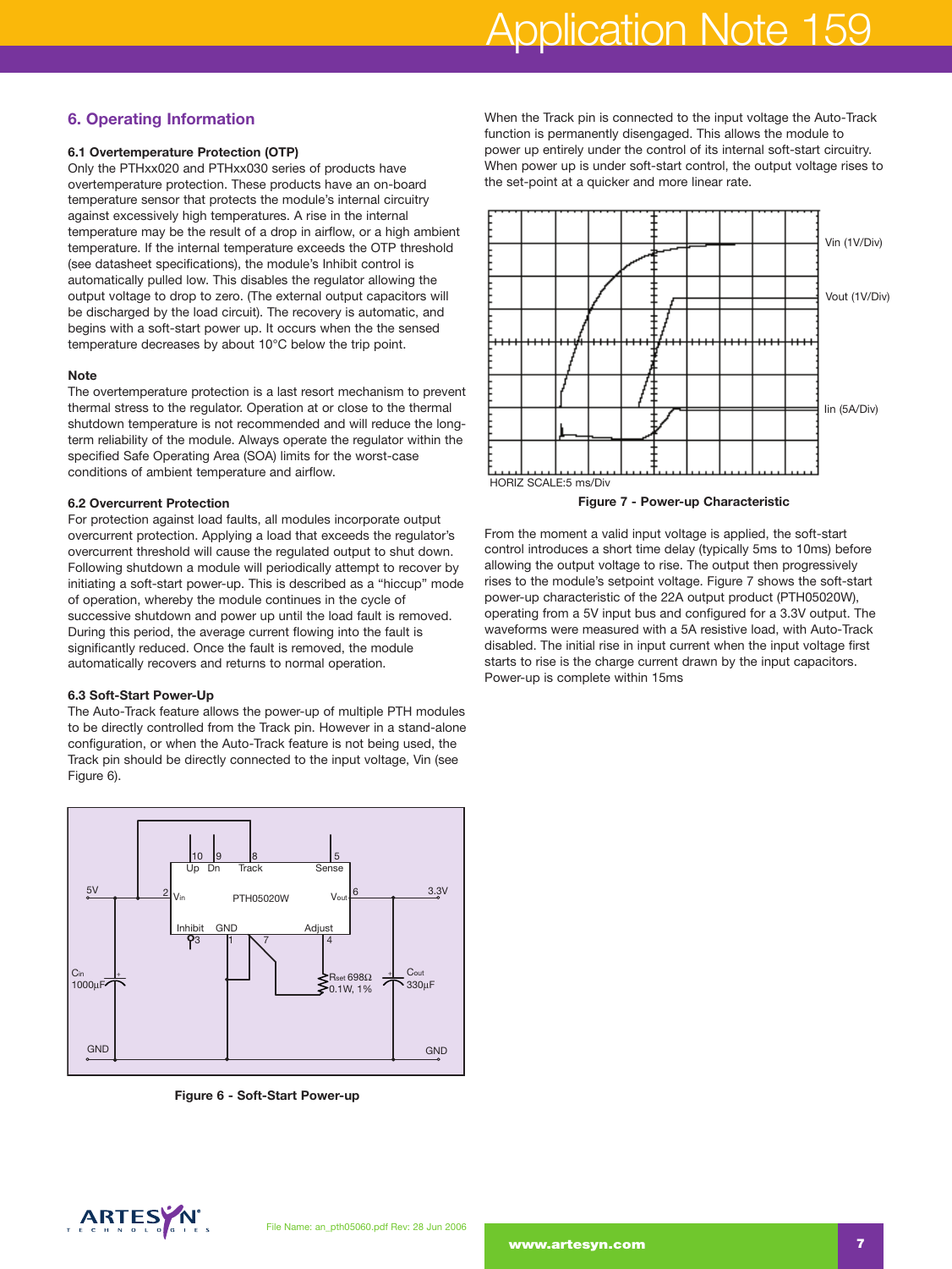# Application Note 159

# **6. Operating Information**

# **6.1 Overtemperature Protection (OTP)**

Only the PTHxx020 and PTHxx030 series of products have overtemperature protection. These products have an on-board temperature sensor that protects the module's internal circuitry against excessively high temperatures. A rise in the internal temperature may be the result of a drop in airflow, or a high ambient temperature. If the internal temperature exceeds the OTP threshold (see datasheet specifications), the module's Inhibit control is automatically pulled low. This disables the regulator allowing the output voltage to drop to zero. (The external output capacitors will be discharged by the load circuit). The recovery is automatic, and begins with a soft-start power up. It occurs when the the sensed temperature decreases by about 10°C below the trip point.

#### **Note**

The overtemperature protection is a last resort mechanism to prevent thermal stress to the regulator. Operation at or close to the thermal shutdown temperature is not recommended and will reduce the longterm reliability of the module. Always operate the regulator within the specified Safe Operating Area (SOA) limits for the worst-case conditions of ambient temperature and airflow.

## **6.2 Overcurrent Protection**

For protection against load faults, all modules incorporate output overcurrent protection. Applying a load that exceeds the regulator's overcurrent threshold will cause the regulated output to shut down. Following shutdown a module will periodically attempt to recover by initiating a soft-start power-up. This is described as a "hiccup" mode of operation, whereby the module continues in the cycle of successive shutdown and power up until the load fault is removed. During this period, the average current flowing into the fault is significantly reduced. Once the fault is removed, the module automatically recovers and returns to normal operation.

#### **6.3 Soft-Start Power-Up**

The Auto-Track feature allows the power-up of multiple PTH modules to be directly controlled from the Track pin. However in a stand-alone configuration, or when the Auto-Track feature is not being used, the Track pin should be directly connected to the input voltage, Vin (see Figure 6).



**Figure 6 - Soft-Start Power-up**

When the Track pin is connected to the input voltage the Auto-Track function is permanently disengaged. This allows the module to power up entirely under the control of its internal soft-start circuitry. When power up is under soft-start control, the output voltage rises to the set-point at a quicker and more linear rate.



From the moment a valid input voltage is applied, the soft-start control introduces a short time delay (typically 5ms to 10ms) before allowing the output voltage to rise. The output then progressively rises to the module's setpoint voltage. Figure 7 shows the soft-start power-up characteristic of the 22A output product (PTH05020W), operating from a 5V input bus and configured for a 3.3V output. The waveforms were measured with a 5A resistive load, with Auto-Track disabled. The initial rise in input current when the input voltage first starts to rise is the charge current drawn by the input capacitors. Power-up is complete within 15ms

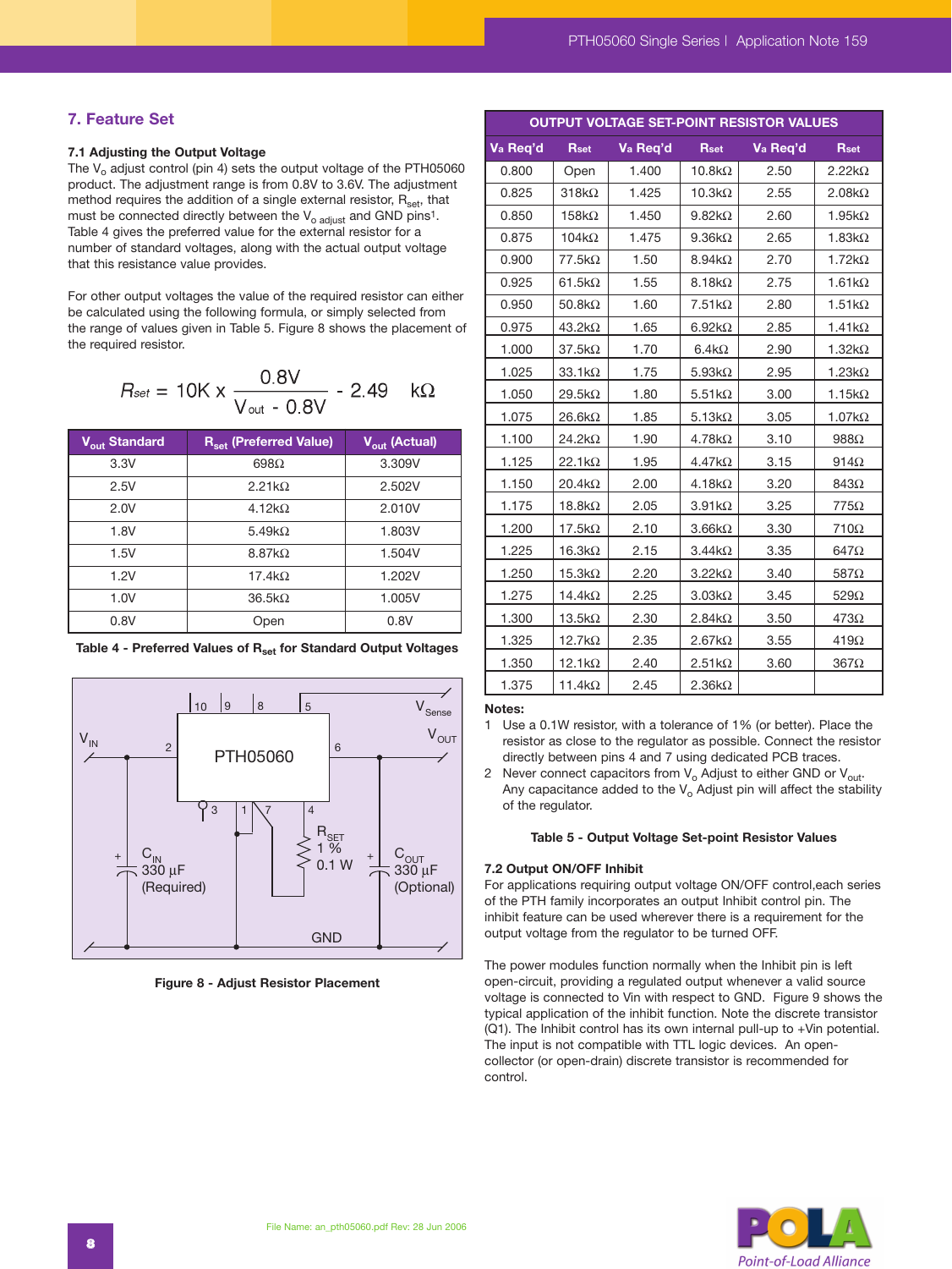**OUTPUT VOLTAGE SET-POINT RESISTOR VALUES**

# **7. Feature Set**

#### **7.1 Adjusting the Output Voltage**

The  $V<sub>o</sub>$  adjust control (pin 4) sets the output voltage of the PTH05060 product. The adjustment range is from 0.8V to 3.6V. The adjustment method requires the addition of a single external resistor,  $R_{\text{set}}$ , that must be connected directly between the  $V_{o \; adjust}$  and GND pins<sup>1</sup>. Table 4 gives the preferred value for the external resistor for a number of standard voltages, along with the actual output voltage that this resistance value provides.

For other output voltages the value of the required resistor can either be calculated using the following formula, or simply selected from the range of values given in Table 5. Figure 8 shows the placement of the required resistor.

$$
R_{\text{set}} = 10 \text{K} \times \frac{0.8 \text{V}}{\text{V}_{\text{out}} - 0.8 \text{V}} - 2.49 \quad \text{k}\Omega
$$

| V <sub>out</sub> Standard | R <sub>set</sub> (Preferred Value) | V <sub>out</sub> (Actual) |
|---------------------------|------------------------------------|---------------------------|
| 3.3V                      | 698 $\Omega$                       | 3.309V                    |
| 2.5V                      | 2.21 $k\Omega$                     | 2.502V                    |
| 2.0V                      | $4.12k\Omega$                      | 2.010V                    |
| 1.8V                      | 5.49 $k\Omega$                     | 1.803V                    |
| 1.5V                      | $8.87k\Omega$                      | 1.504V                    |
| 1.2V                      | $17.4k\Omega$                      | 1.202V                    |
| 1.0V                      | $36.5k\Omega$                      | 1.005V                    |
| 0.8V                      | Open                               | 0.8V                      |





**Figure 8 - Adjust Resistor Placement**

| Va Req'd | <b>Rset</b>    | Va Req'd | <b>Rset</b>   | Va Req'd | <b>Rset</b>    |
|----------|----------------|----------|---------------|----------|----------------|
| 0.800    | Open           | 1.400    | $10.8k\Omega$ | 2.50     | $2.22k\Omega$  |
| 0.825    | $318k\Omega$   | 1.425    | $10.3k\Omega$ | 2.55     | $2.08k\Omega$  |
| 0.850    | $158k\Omega$   | 1.450    | $9.82k\Omega$ | 2.60     | $1.95k\Omega$  |
| 0.875    | $104k\Omega$   | 1.475    | $9.36k\Omega$ | 2.65     | 1.83 $k\Omega$ |
| 0.900    | $77.5k\Omega$  | 1.50     | $8.94k\Omega$ | 2.70     | $1.72k\Omega$  |
| 0.925    | $61.5k\Omega$  | 1.55     | $8.18k\Omega$ | 2.75     | $1.61k\Omega$  |
| 0.950    | 50.8 $k\Omega$ | 1.60     | $7.51k\Omega$ | 2.80     | $1.51k\Omega$  |
| 0.975    | $43.2k\Omega$  | 1.65     | $6.92k\Omega$ | 2.85     | $1.41k\Omega$  |
| 1.000    | $37.5k\Omega$  | 1.70     | $6.4k\Omega$  | 2.90     | $1.32k\Omega$  |
| 1.025    | $33.1k\Omega$  | 1.75     | $5.93k\Omega$ | 2.95     | $1.23k\Omega$  |
| 1.050    | $29.5k\Omega$  | 1.80     | $5.51k\Omega$ | 3.00     | $1.15k\Omega$  |
| 1.075    | $26.6k\Omega$  | 1.85     | $5.13k\Omega$ | 3.05     | $1.07k\Omega$  |
| 1.100    | $24.2k\Omega$  | 1.90     | $4.78k\Omega$ | 3.10     | $988\Omega$    |
| 1.125    | $22.1k\Omega$  | 1.95     | $4.47k\Omega$ | 3.15     | $914\Omega$    |
| 1.150    | $20.4k\Omega$  | 2.00     | $4.18k\Omega$ | 3.20     | 843Ω           |
| 1.175    | $18.8k\Omega$  | 2.05     | $3.91k\Omega$ | 3.25     | $775\Omega$    |
| 1.200    | $17.5k\Omega$  | 2.10     | $3.66k\Omega$ | 3.30     | 710Ω           |
| 1.225    | $16.3k\Omega$  | 2.15     | $3.44k\Omega$ | 3.35     | $647\Omega$    |
| 1.250    | $15.3k\Omega$  | 2.20     | $3.22k\Omega$ | 3.40     | $587\Omega$    |
| 1.275    | $14.4k\Omega$  | 2.25     | $3.03k\Omega$ | 3.45     | $529\Omega$    |
| 1.300    | $13.5k\Omega$  | 2.30     | $2.84k\Omega$ | 3.50     | $473\Omega$    |
| 1.325    | $12.7k\Omega$  | 2.35     | $2.67k\Omega$ | 3.55     | $419\Omega$    |
| 1.350    | $12.1k\Omega$  | 2.40     | $2.51k\Omega$ | 3.60     | $367\Omega$    |
| 1.375    | $11.4k\Omega$  | 2.45     | $2.36k\Omega$ |          |                |

#### **Notes:**

1 Use a 0.1W resistor, with a tolerance of 1% (or better). Place the resistor as close to the regulator as possible. Connect the resistor directly between pins 4 and 7 using dedicated PCB traces.

2 Never connect capacitors from  $V_0$  Adjust to either GND or  $V_{\text{out}}$ . Any capacitance added to the  $V_0$  Adjust pin will affect the stability of the regulator.

#### **Table 5 - Output Voltage Set-point Resistor Values**

#### **7.2 Output ON/OFF Inhibit**

For applications requiring output voltage ON/OFF control,each series of the PTH family incorporates an output Inhibit control pin. The inhibit feature can be used wherever there is a requirement for the output voltage from the regulator to be turned OFF.

The power modules function normally when the Inhibit pin is left open-circuit, providing a regulated output whenever a valid source voltage is connected to Vin with respect to GND. Figure 9 shows the typical application of the inhibit function. Note the discrete transistor (Q1). The Inhibit control has its own internal pull-up to +Vin potential. The input is not compatible with TTL logic devices. An opencollector (or open-drain) discrete transistor is recommended for control.

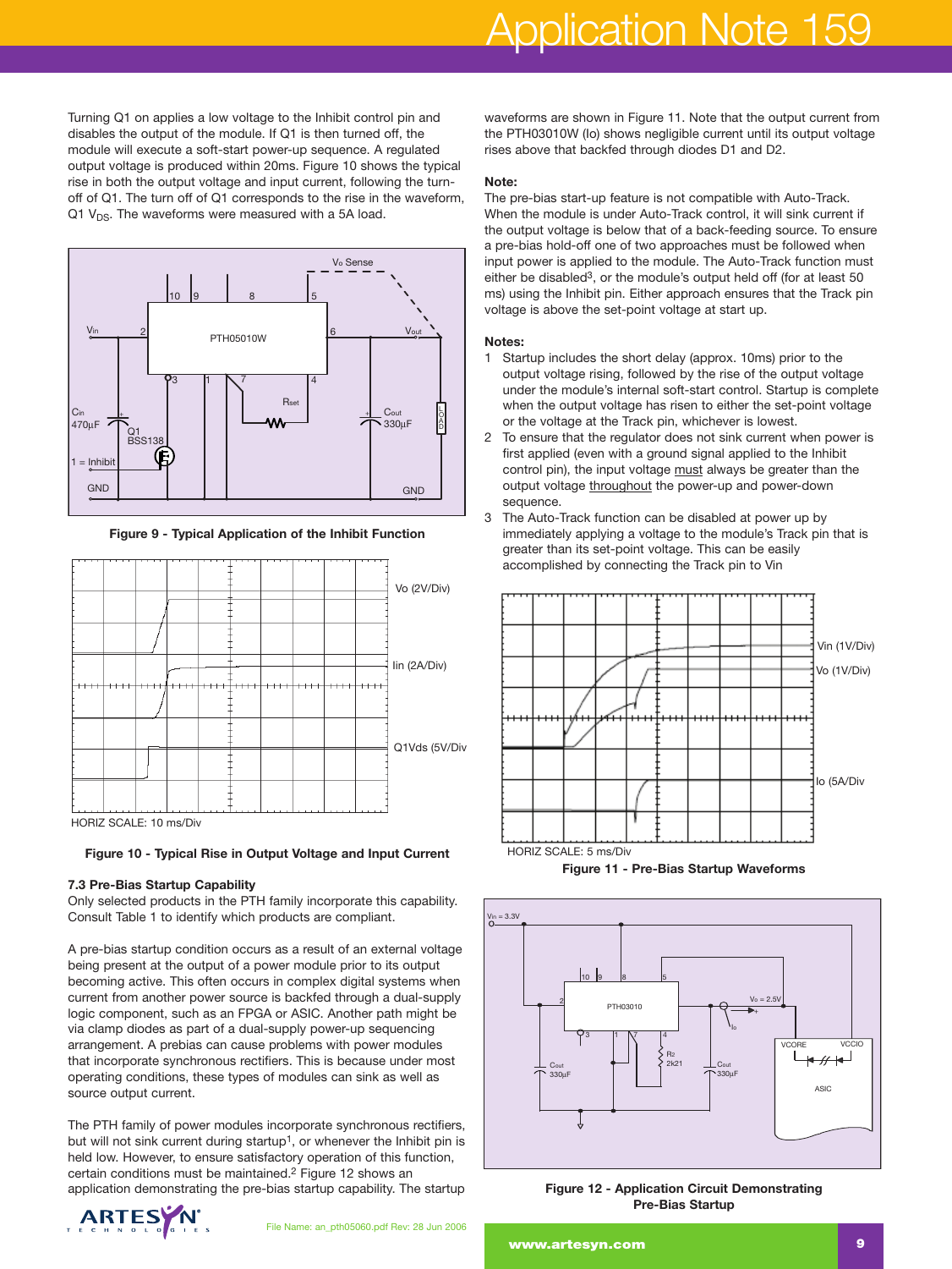Turning Q1 on applies a low voltage to the Inhibit control pin and disables the output of the module. If Q1 is then turned off, the module will execute a soft-start power-up sequence. A regulated output voltage is produced within 20ms. Figure 10 shows the typical rise in both the output voltage and input current, following the turnoff of Q1. The turn off of Q1 corresponds to the rise in the waveform, Q1  $V_{DS}$ . The waveforms were measured with a 5A load.



**Figure 9 - Typical Application of the Inhibit Function**



**Figure 10 - Typical Rise in Output Voltage and Input Current**

# **7.3 Pre-Bias Startup Capability**

Only selected products in the PTH family incorporate this capability. Consult Table 1 to identify which products are compliant.

A pre-bias startup condition occurs as a result of an external voltage being present at the output of a power module prior to its output becoming active. This often occurs in complex digital systems when current from another power source is backfed through a dual-supply logic component, such as an FPGA or ASIC. Another path might be via clamp diodes as part of a dual-supply power-up sequencing arrangement. A prebias can cause problems with power modules that incorporate synchronous rectifiers. This is because under most operating conditions, these types of modules can sink as well as source output current.

The PTH family of power modules incorporate synchronous rectifiers, but will not sink current during startup<sup>1</sup>, or whenever the Inhibit pin is held low. However, to ensure satisfactory operation of this function, certain conditions must be maintained.2 Figure 12 shows an application demonstrating the pre-bias startup capability. The startup



waveforms are shown in Figure 11. Note that the output current from the PTH03010W (Io) shows negligible current until its output voltage rises above that backfed through diodes D1 and D2.

#### **Note:**

The pre-bias start-up feature is not compatible with Auto-Track. When the module is under Auto-Track control, it will sink current if the output voltage is below that of a back-feeding source. To ensure a pre-bias hold-off one of two approaches must be followed when input power is applied to the module. The Auto-Track function must either be disabled<sup>3</sup>, or the module's output held off (for at least 50 ms) using the Inhibit pin. Either approach ensures that the Track pin voltage is above the set-point voltage at start up.

### **Notes:**

- 1 Startup includes the short delay (approx. 10ms) prior to the output voltage rising, followed by the rise of the output voltage under the module's internal soft-start control. Startup is complete when the output voltage has risen to either the set-point voltage or the voltage at the Track pin, whichever is lowest.
- 2 To ensure that the regulator does not sink current when power is first applied (even with a ground signal applied to the Inhibit control pin), the input voltage must always be greater than the output voltage throughout the power-up and power-down sequence.
- 3 The Auto-Track function can be disabled at power up by immediately applying a voltage to the module's Track pin that is greater than its set-point voltage. This can be easily accomplished by connecting the Track pin to Vin



**Figure 11 - Pre-Bias Startup Waveforms**



**Figure 12 - Application Circuit Demonstrating Pre-Bias Startup**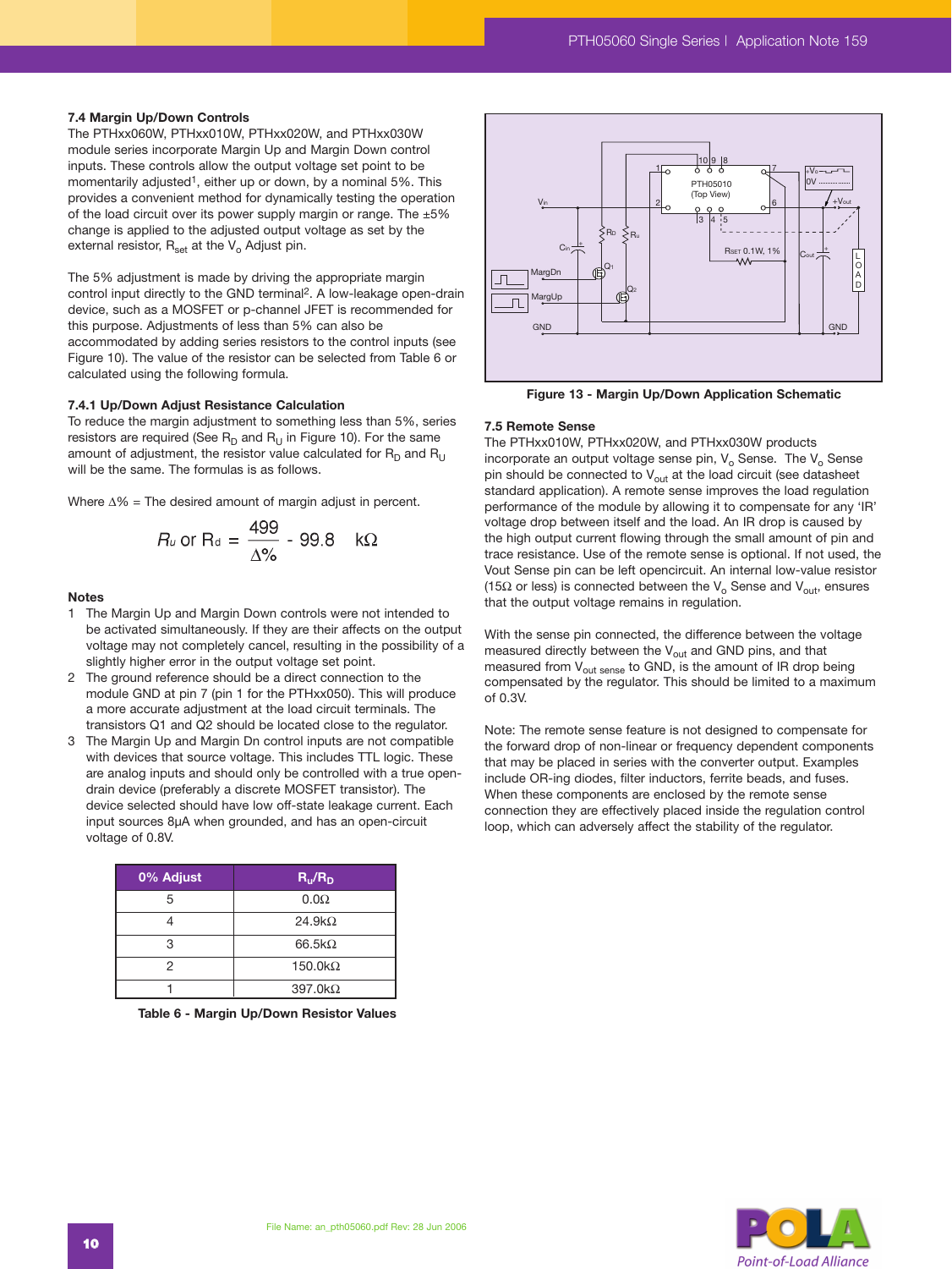#### **7.4 Margin Up/Down Controls**

The PTHxx060W, PTHxx010W, PTHxx020W, and PTHxx030W module series incorporate Margin Up and Margin Down control inputs. These controls allow the output voltage set point to be momentarily adjusted<sup>1</sup>, either up or down, by a nominal 5%. This provides a convenient method for dynamically testing the operation of the load circuit over its power supply margin or range. The ±5% change is applied to the adjusted output voltage as set by the external resistor,  $R_{\text{set}}$  at the  $V_{o}$  Adjust pin.

The 5% adjustment is made by driving the appropriate margin control input directly to the GND terminal2. A low-leakage open-drain device, such as a MOSFET or p-channel JFET is recommended for this purpose. Adjustments of less than 5% can also be accommodated by adding series resistors to the control inputs (see Figure 10). The value of the resistor can be selected from Table 6 or calculated using the following formula.

#### **7.4.1 Up/Down Adjust Resistance Calculation**

To reduce the margin adjustment to something less than 5%, series resistors are required (See  $R_D$  and  $R_U$  in Figure 10). For the same amount of adjustment, the resistor value calculated for  $R_D$  and  $R_{\rm H}$ will be the same. The formulas is as follows.

Where ∆% = The desired amount of margin adjust in percent.

$$
R_u \text{ or } R_d = \frac{499}{\Delta\%} - 99.8 \quad k\Omega
$$

#### **Notes**

- 1 The Margin Up and Margin Down controls were not intended to be activated simultaneously. If they are their affects on the output voltage may not completely cancel, resulting in the possibility of a slightly higher error in the output voltage set point.
- 2 The ground reference should be a direct connection to the module GND at pin 7 (pin 1 for the PTHxx050). This will produce a more accurate adjustment at the load circuit terminals. The transistors Q1 and Q2 should be located close to the regulator.
- 3 The Margin Up and Margin Dn control inputs are not compatible with devices that source voltage. This includes TTL logic. These are analog inputs and should only be controlled with a true opendrain device (preferably a discrete MOSFET transistor). The device selected should have low off-state leakage current. Each input sources 8µA when grounded, and has an open-circuit voltage of 0.8V.

| 0% Adjust | $R_{u}/R_{D}$   |
|-----------|-----------------|
| 5         | $0.0\Omega$     |
|           | $24.9k\Omega$   |
| 3         | $66.5k\Omega$   |
| 2         | $150.0 k\Omega$ |
|           | $397.0 k\Omega$ |

**Table 6 - Margin Up/Down Resistor Values**



**Figure 13 - Margin Up/Down Application Schematic**

#### **7.5 Remote Sense**

The PTHxx010W, PTHxx020W, and PTHxx030W products incorporate an output voltage sense pin,  $V_0$  Sense. The  $V_0$  Sense pin should be connected to  $V_{\text{out}}$  at the load circuit (see datasheet standard application). A remote sense improves the load regulation performance of the module by allowing it to compensate for any 'IR' voltage drop between itself and the load. An IR drop is caused by the high output current flowing through the small amount of pin and trace resistance. Use of the remote sense is optional. If not used, the Vout Sense pin can be left opencircuit. An internal low-value resistor (15 $\Omega$  or less) is connected between the V<sub>o</sub> Sense and V<sub>out</sub>, ensures that the output voltage remains in regulation.

With the sense pin connected, the difference between the voltage measured directly between the  $V_{\text{out}}$  and GND pins, and that measured from  $V_{\text{out sense}}$  to GND, is the amount of IR drop being compensated by the regulator. This should be limited to a maximum of 0.3V.

Note: The remote sense feature is not designed to compensate for the forward drop of non-linear or frequency dependent components that may be placed in series with the converter output. Examples include OR-ing diodes, filter inductors, ferrite beads, and fuses. When these components are enclosed by the remote sense connection they are effectively placed inside the regulation control loop, which can adversely affect the stability of the regulator.

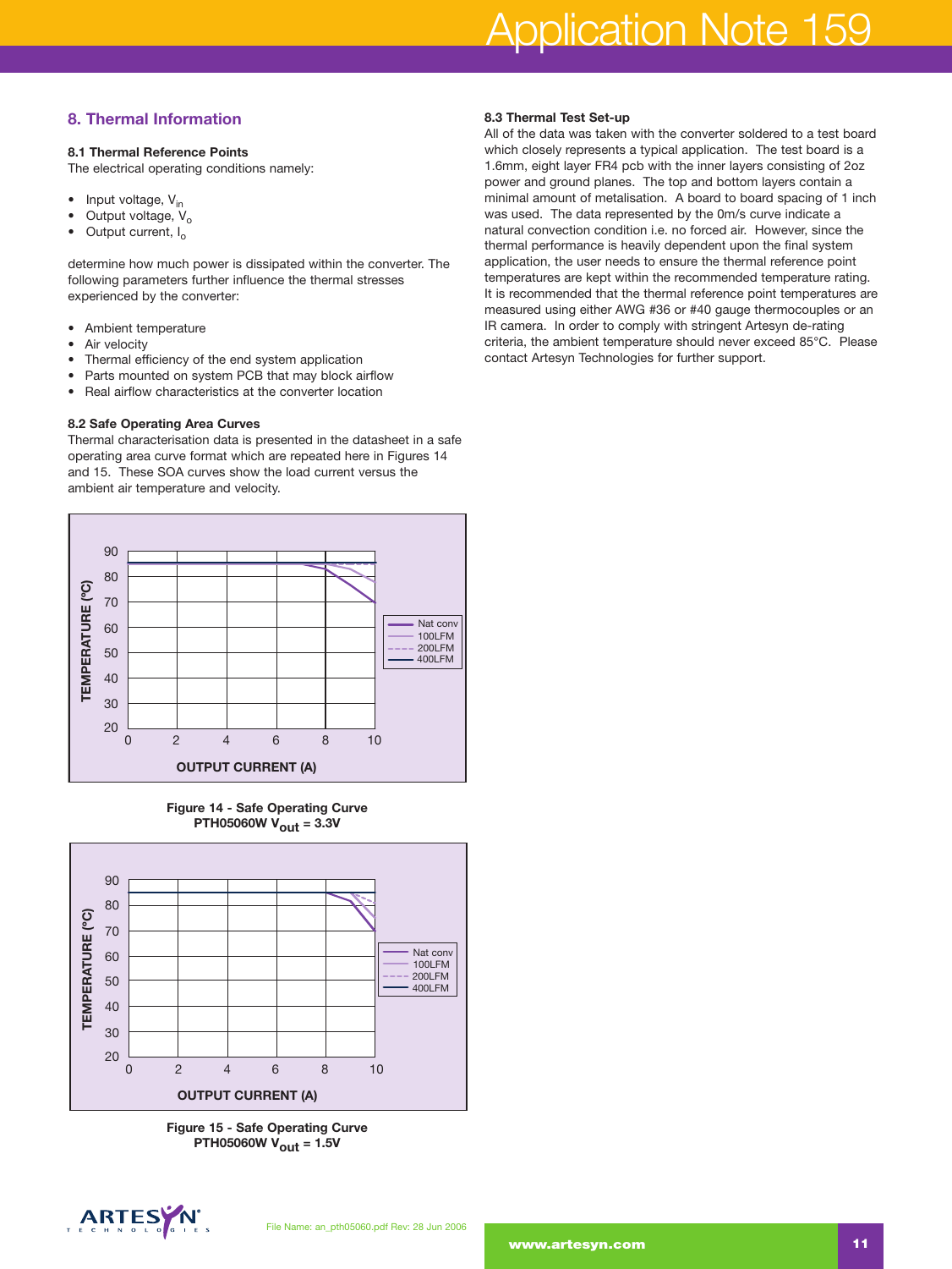# Application Note 159

# **8. Thermal Information**

### **8.1 Thermal Reference Points**

The electrical operating conditions namely:

- Input voltage,  $V_{in}$
- Output voltage,  $V_0$ <br>• Output current I
- Output current, I<sub>o</sub>

determine how much power is dissipated within the converter. The following parameters further influence the thermal stresses experienced by the converter:

- Ambient temperature
- Air velocity
- Thermal efficiency of the end system application
- Parts mounted on system PCB that may block airflow
- Real airflow characteristics at the converter location

### **8.2 Safe Operating Area Curves**

Thermal characterisation data is presented in the datasheet in a safe operating area curve format which are repeated here in Figures 14 and 15. These SOA curves show the load current versus the ambient air temperature and velocity.







**Figure 15 - Safe Operating Curve PTH05060W Vout = 1.5V**



#### **8.3 Thermal Test Set-up**

All of the data was taken with the converter soldered to a test board which closely represents a typical application. The test board is a 1.6mm, eight layer FR4 pcb with the inner layers consisting of 2oz power and ground planes. The top and bottom layers contain a minimal amount of metalisation. A board to board spacing of 1 inch was used. The data represented by the 0m/s curve indicate a natural convection condition i.e. no forced air. However, since the thermal performance is heavily dependent upon the final system application, the user needs to ensure the thermal reference point temperatures are kept within the recommended temperature rating. It is recommended that the thermal reference point temperatures are measured using either AWG #36 or #40 gauge thermocouples or an IR camera. In order to comply with stringent Artesyn de-rating criteria, the ambient temperature should never exceed 85°C. Please contact Artesyn Technologies for further support.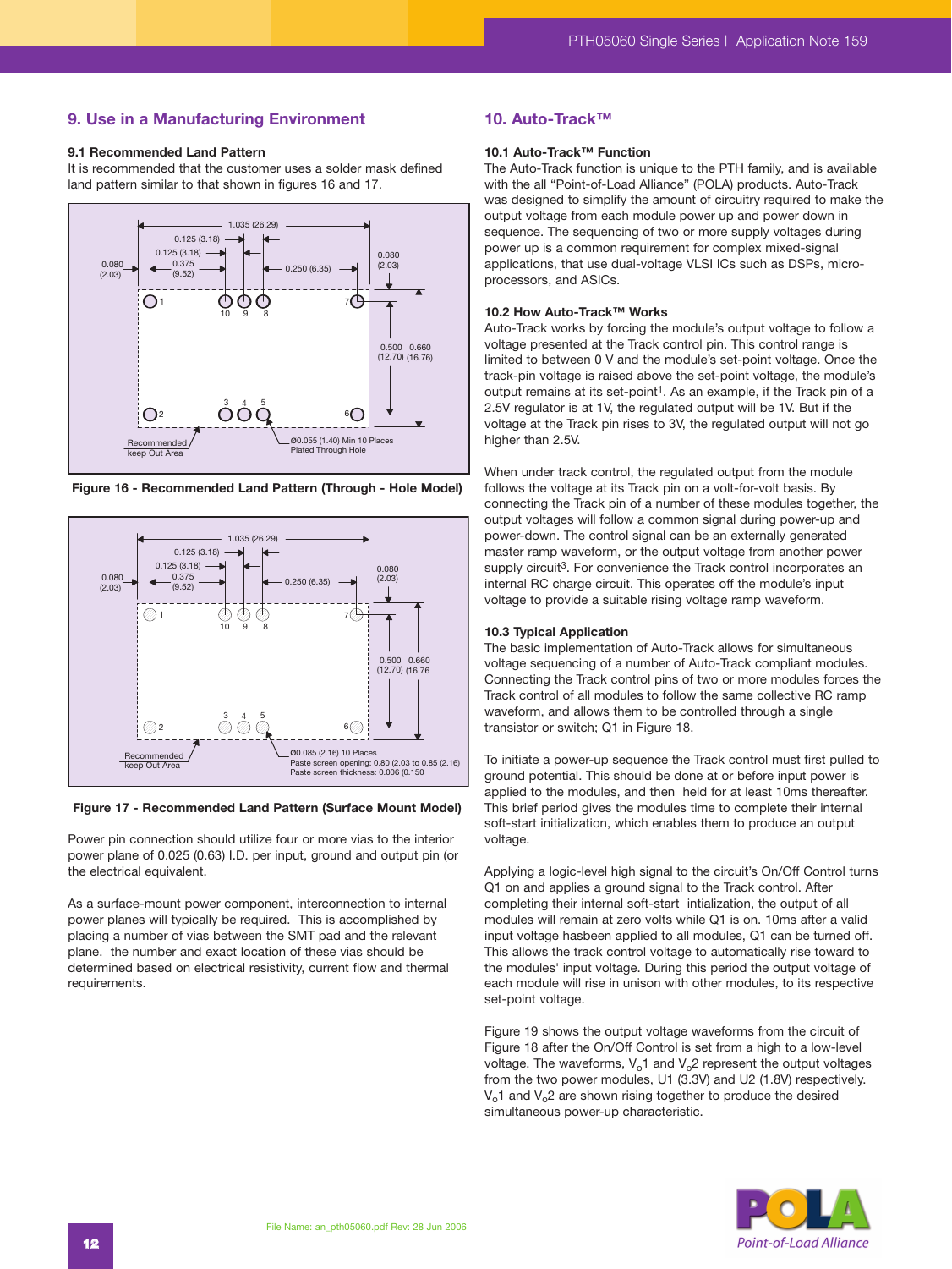### **9. Use in a Manufacturing Environment**

#### **9.1 Recommended Land Pattern**

It is recommended that the customer uses a solder mask defined land pattern similar to that shown in figures 16 and 17.



**Figure 16 - Recommended Land Pattern (Through - Hole Model)**



**Figure 17 - Recommended Land Pattern (Surface Mount Model)**

Power pin connection should utilize four or more vias to the interior power plane of 0.025 (0.63) I.D. per input, ground and output pin (or the electrical equivalent.

As a surface-mount power component, interconnection to internal power planes will typically be required. This is accomplished by placing a number of vias between the SMT pad and the relevant plane. the number and exact location of these vias should be determined based on electrical resistivity, current flow and thermal requirements.

#### **10. Auto-Track™**

# **10.1 Auto-Track™ Function**

The Auto-Track function is unique to the PTH family, and is available with the all "Point-of-Load Alliance" (POLA) products. Auto-Track was designed to simplify the amount of circuitry required to make the output voltage from each module power up and power down in sequence. The sequencing of two or more supply voltages during power up is a common requirement for complex mixed-signal applications, that use dual-voltage VLSI ICs such as DSPs, microprocessors, and ASICs.

#### **10.2 How Auto-Track™ Works**

Auto-Track works by forcing the module's output voltage to follow a voltage presented at the Track control pin. This control range is limited to between 0 V and the module's set-point voltage. Once the track-pin voltage is raised above the set-point voltage, the module's output remains at its set-point<sup>1</sup>. As an example, if the Track pin of a 2.5V regulator is at 1V, the regulated output will be 1V. But if the voltage at the Track pin rises to 3V, the regulated output will not go higher than 2.5V.

When under track control, the regulated output from the module follows the voltage at its Track pin on a volt-for-volt basis. By connecting the Track pin of a number of these modules together, the output voltages will follow a common signal during power-up and power-down. The control signal can be an externally generated master ramp waveform, or the output voltage from another power supply circuit<sup>3</sup>. For convenience the Track control incorporates an internal RC charge circuit. This operates off the module's input voltage to provide a suitable rising voltage ramp waveform.

#### **10.3 Typical Application**

The basic implementation of Auto-Track allows for simultaneous voltage sequencing of a number of Auto-Track compliant modules. Connecting the Track control pins of two or more modules forces the Track control of all modules to follow the same collective RC ramp waveform, and allows them to be controlled through a single transistor or switch; Q1 in Figure 18.

To initiate a power-up sequence the Track control must first pulled to ground potential. This should be done at or before input power is applied to the modules, and then held for at least 10ms thereafter. This brief period gives the modules time to complete their internal soft-start initialization, which enables them to produce an output voltage.

Applying a logic-level high signal to the circuit's On/Off Control turns Q1 on and applies a ground signal to the Track control. After completing their internal soft-start intialization, the output of all modules will remain at zero volts while Q1 is on. 10ms after a valid input voltage hasbeen applied to all modules, Q1 can be turned off. This allows the track control voltage to automatically rise toward to the modules' input voltage. During this period the output voltage of each module will rise in unison with other modules, to its respective set-point voltage.

Figure 19 shows the output voltage waveforms from the circuit of Figure 18 after the On/Off Control is set from a high to a low-level voltage. The waveforms,  $V_0$ 1 and  $V_0$ 2 represent the output voltages from the two power modules, U1 (3.3V) and U2 (1.8V) respectively.  $V<sub>o</sub>1$  and  $V<sub>o</sub>2$  are shown rising together to produce the desired simultaneous power-up characteristic.